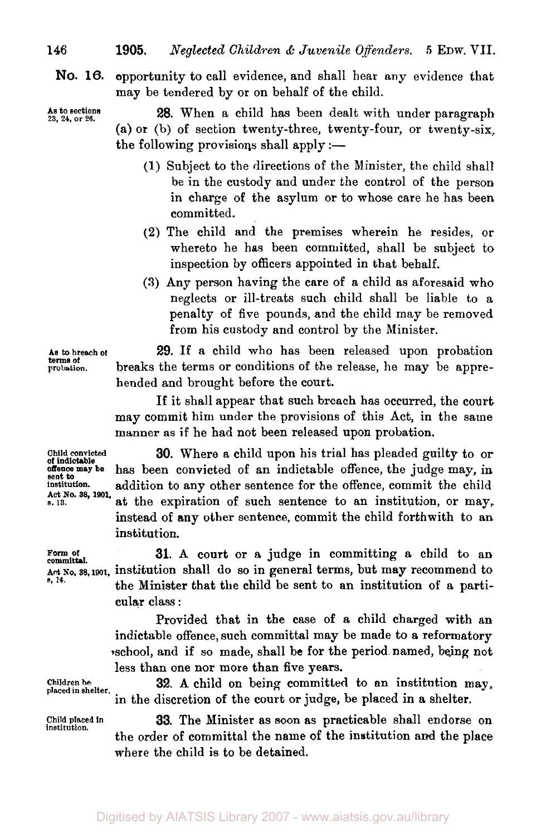**NO. 16.** opportunity to call evidence, and shall hear any evidence that may be tendered by or on behalf of the child.

**As to sections 23, 24, or 26.** 

**28.** When a child has been dealt with under paragraph (a) or (b) of section twenty-three, twenty-four, or twenty-six, the following provisions shall apply  $:$ -

- (1) Subject to the directions of the Minister, the child shall be in the custody and under the control of the person in charge of the asylum or to whose care he has been committed.
- **(2)** The child and the premises wherein he resides, or whereto he has been committed, shall be subject to inspection by officers appointed in that behalf.
- **(3)** Any person having the care of a child as aforesaid who neglects or ill-treats such child shall be liable to a penalty of five pounds, and the child may be removed from his custody and control by the Minister.

**29.** If a child who has been released upon probation breaks the terms or conditions of the release, he may be apprehended and brought before the court.

If it shall appear that such breach has occurred, the court may commit him under the provisions of this Act, in the same manner **as** if he had not been released upon probation.

**of indictable sent to Act No. 38, 1901,** 

Form of<br>committal.

**e, 14.** 

**Child convicted 30.** Where a child upon his trial has pleaded guilty to **or offence may be** has been convicted of an indictable offence, the judge may, in **institution.** addition to any other sentence for the offence, commit the child *s.* **13.** at the expiration of such sentence to an institution, or may, instead of any other sentence, commit the child forthwith to an institution.

**31.** A court or a judge in committing a child to an **Act No, 38, 1901,** institution shall do so in general terms, but may recommend to the Minister that the child be sent to an institution of a particular class :

> Provided that in the case **of** a child charged with an indictable offence, such committal may be made to a reformatory school, and **if** so made, shall be for the period named, being not less than one nor more than five years.

Children be **32.** A child on being committed to an institution may, placed in shelter. in the discretion of the court or judge, be placed in **a** shelter.

> **33.** The Minister as soon as practicable shall endorse on the order of committal the name **of** the institution and the place where the child is to be detained.

**institution.** 

**As to breach of probation. terms of**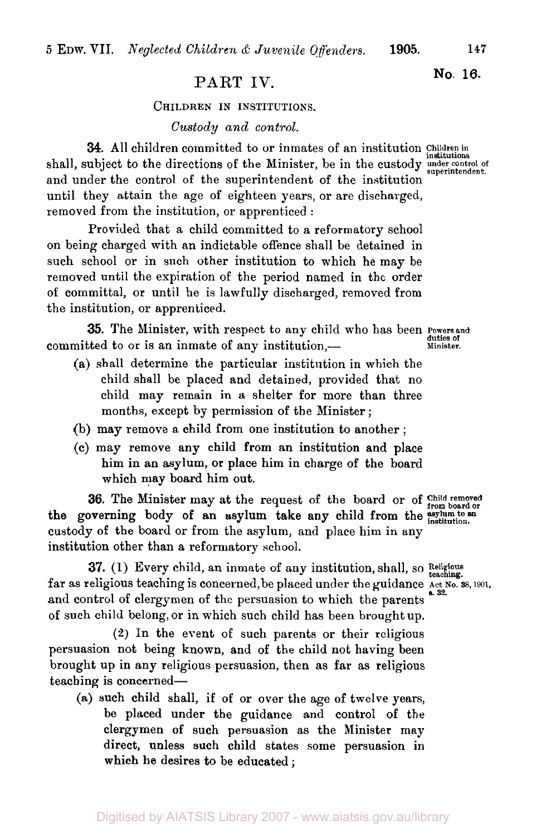# **No. 16.** PART **IV.**

#### **CHILDREN IN INSTITUTIONS.**

*Custody and control.* 

**34.** All children committed to or inmates of an institution **Children** in shall, subject to the directions of the Minister, be in the custody under control of the shall, subject to the directions of the Minister, be in the custody **under** control of and under the control of the superintendent of the institution until they attain the age of eighteen years, or are discharged, removed from the institution, or apprenticed :

Provided that a child committed to a reformatory school on being charged with an indictable offence shall be detained in such school or in such other institution to which he may be removed until the expiration of the period named in the order of committal, or until he is lawfully discharged, removed from the institution, or apprenticed.

**35.** The Minister, with respect to any child who has been **Powersand**  committed to or is an inmate of any institution,-

- (a) shall determine the particular institution in which the child shell be placed and detained, provided that no child may remain in a shelter for more than three months, except by permission of the Minister ;
- (b) may remove a child from one institution to another ;
- *(c)* may remove any child from an institution and place him in an asylum, or place him in charge of the board which may board him out.

**36.** The Minister may at the request of the board or of Child removed or custody **of** the board or from the asylum, and place him in any institution other than a reformatory school. the governing body of an asylum take any child from the asylum to an institution.

far as religious teaching is concerned, be placed under the guidance Act No. 38, 1901, and control of clergymen of the persuasion to which the parents of such child belong, or in which such child has been brought up. **37. (1)** Every child, an inmate of any institution, shall, so Religious teaching.

**(2)** In the event of such parents or their religious persuasion not being known, and of the child not having been brought up in any religious persuasion, then as far as religious teaching is concerned-

(a) such child shall, if of or over the age of twelve years, be placed under the guidance and control of the clergymen of such persuasion as the Minister may direct, unless such child states some persuasion in which **he** desires **to** be educated ;

*s. 32.*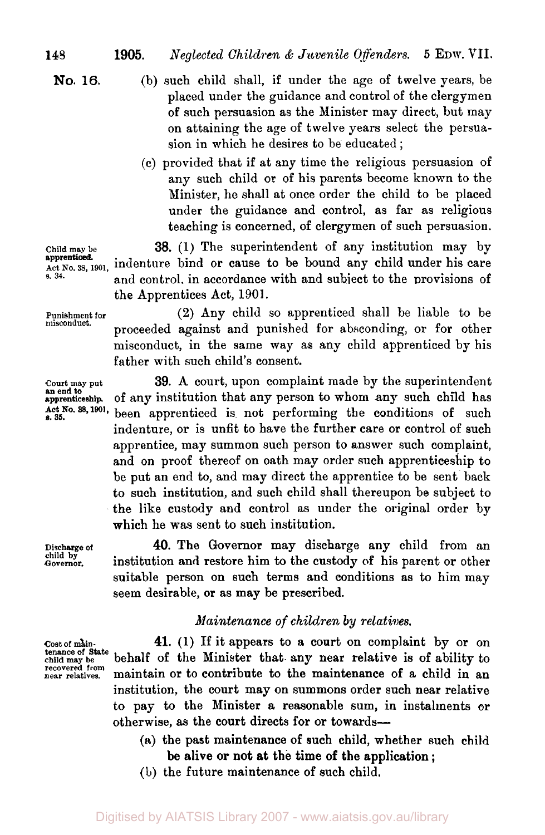**No. 16.** 

- (b) such child shall, if under the age of twelve years, be placed under the guidance and control of the clergymen of such persuasion as the Minister may direct, but may on attaining the age of twelve years select the persuasion in which he desires to be educated ;
- (c) provided that if at any time the religious persuasion of any such child **or** of his parents become known to the Minister, he shall at once order the child to be placed under the guidance and control, as far as religious teaching is concerned, of clergymen of such persuasion.

**Child may be 38. (1)** The superintendent of any institution may by **Act No. 38, 1901,** indenture bind or cause to be bound any child under his care **s. 34. and control, in accordance with and subject to the provisions of** the Apprentices Act, **1901.** 

**Punishment for misconduct.** 

**apprenticed.** 

**an end to Act No. 38, 1901,** *s.* **35.** 

**Discharge of**  Governor.

**Cost of main- tenance of State child may be recovered from near relatives.** 

**(2)** Any child so apprenticed shall be liable to be proceeded against and punished for absconding, or for other misconduct, in the same way as any child apprenticed by his father with such child's consent.

**Court may put 39.** A court, upon complaint made by the superintendent apprenticeship. of any institution that any person to whom any such child has been apprenticed is not performing the conditions of such indenture, or is unfit to have the further care or control of such apprentice, may summon such person to answer such complaint, and on proof thereof on oath may order such apprenticeship to be put an end to, and may direct the apprentice to be sent back to such institution, and such child shall thereupon be subject to the like custody and control as under the original order by which he was sent to such institution.

> **40.** The Governor may discharge any child from an institution and restore him to the custody of his parent or other suitable person on such terms and conditions as to him may seem desirable, or as may be prescribed.

### *Maintenance of children by relatives.*

**41.** (1) If it appears to a court on complaint by or on behalf of the Minister that. any near relative is of ability to maintain or to contribute to the maintenance of a child in an institution, the court may on summons order such near relative to pay to the Minister a reasonable sum, in installments **or**  otherwise, as the court directs for or towards-

- (&) the past maintenance of such child, whether such child be alive or not at the time of the application ;
- **(b)** the future maintenance of such child,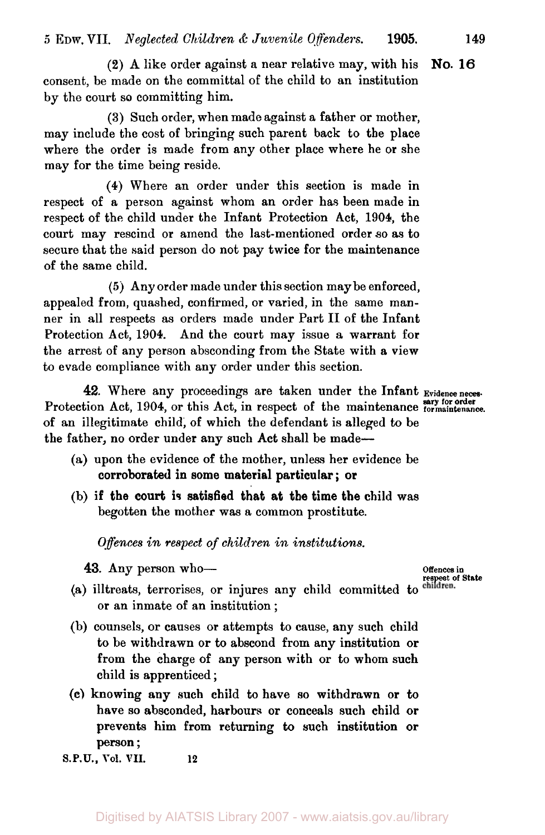(2) A like order against a near relative may, with his consent, be made on the committal of the child to an institution by the court so committing him. **No. 16** 

(3) Such order, when made against a father or mother, may include the cost of bringing such parent back to the place where the order is made from any other place where he or she may for the time being reside.

**(4)** Where an order under this section is made in respect of a person against whom an order has been made in respect of the child under the Infant Protection Act, **1904,** the court may rescind or amend the last-mentioned order *so* as to secure that the said person do not pay twice for the maintenance of the same child.

*(5* j Any order made under this section maybe enforced, appealed from, quashed, confirmed, or varied, in the same manner in all respects as orders made under Part II of the Infant Protection Act, **1904.** And the court may issue a warrant for the arrest of any person absconding from the State with a view to evade compliance with any order under this section.

42. Where any proceedings are taken under the Infant Evidence neces Protection Act, 1904, or this Act, in respect of the maintenance formaintenance. of an illegitimate child; of which the defendant is alleged to be the father, no order under any such Act shall be made-

- (a) upon the evidence of the mother, unless her evidence be corroborated in some material particular ; or
- (b) if the court is satisfied that at the time the child was begotten the mother was a common prostitute.

*Offences in respect* of *children in institutions.* 

- **43.** Any person who-<br>
(a) illtreats, terrorises, or injures any child committed to children.<br>
or an inmate of an institution ;
- (b) counsels, or causes or attempts to cause, any such child to be withdrawn or to abscond from any institution or from the charge of any person with or to whom such child is apprenticed ;
- **(c)** knowing any such child to have so withdrawn or to have so absconded, harbours or conceals such child or prevents him from returning to such institution or person ;

**S.P.U., Vol. VII. 12**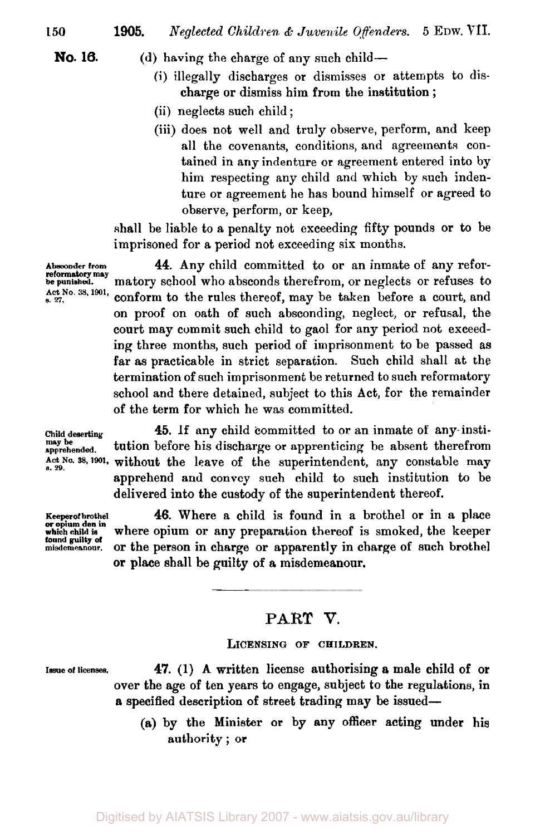- **No. 16.** (d) having the charge of any such child-
	- (i) illegally discharges or dismisses or attempts to dis charge or dismiss him from the institution ;
	- (ii) neglects such child ;
	- (iii) does not well and truly observe, perform, and keep all the covenants, conditions, and agreements contained in any indenture or agreement entered into **by**  him respecting any child and which by such indenture or agreement he has bound himself or agreed to observe, perform, or keep,

shall be liable to a penalty not exceeding fifty pounds or to be imprisoned for a period not exceeding six months.

**44.** Any child committed to or an inmate of any reformatory school who absconds therefrom, or neglects or refuses to conform to the rules thereof, may be taken before a court, and on proof on oath of such absconding, neglect, or refusal, the court may commit such child to gaol for any period not exceeding three months, such period of imprisonment to be passed as far **as** practicable in strict separation. Such child shall at the termination of such imprisonment be returned to such reformatory school and there detained, subject to this Act, for the remainder of the term for which he was committed. **Act No 35, 1901,** 

**Absconder from be punished. reformatory may** 

**s.** *27.* 

**or opium den in found guilty of** 

**Child deserting 45.** If any child committed to or an inmate of any insti-Act No. 38, 1901, without the leave of the superintendent, any constable may apprehend and convey such child to such institution to be delivered into the custody of the superintendent thereof. may be **apprehended. tution** before his discharge or apprenticing be absent therefrom

46. Where a child is found in a brothel or in a place where opium or any preparation thereof is smoked, the keeper misdemeanour. **or the person in charge or apparently in charge of such brothel** or place shall be guilty of a misdemeanour.

## **PART V.**

 $\overline{\phantom{a}}$ 

#### LICENSING OF CHILDREN.

**Issue of licenses. 47.** (1) A written license authorising a male child of or over the age of ten years to engage, subject to the regulations, in **a** specified description of street trading may be issued-

> **(a)** by the Minister or by any officer acting under his authority ; or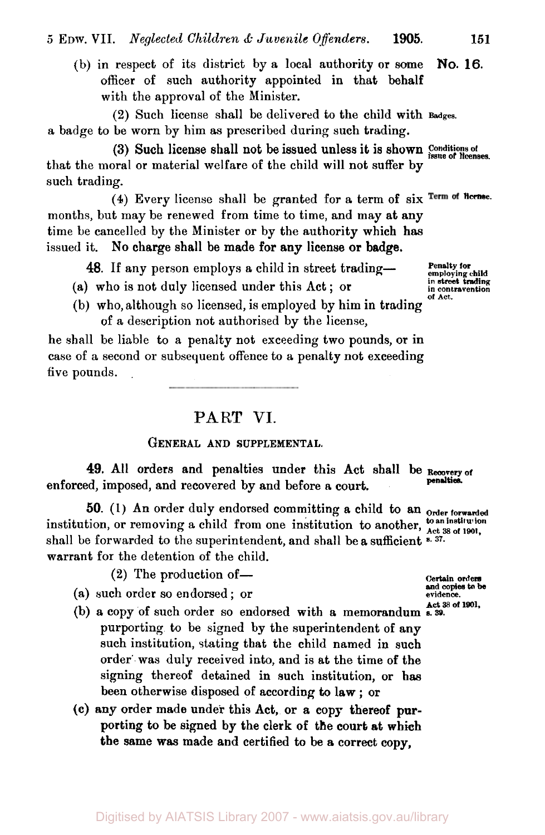(b) in respect of its district by a local authority or some officer of such authority appointed in that behalf with the approval of the Minister. **NO. 16.** 

(2) Such license shall be delivered to the child with **Badges.**  a badge to be worn by him as prescribed during such trading.

that the moral or material welfare of the child will not suffer by such trading. (3) Such license shall not be issued unless it is shown **Conditions** of **issue of licenses.** 

(4) Every license shall be granted for a term of six Term of Heense. months, but may be renewed from time to time, and may at any time be cancelled by the Minister or by the authority which has issued it. No charge shall be made for any license or badge.

**48.** If any person employs a child in street trading-

- **(a)** who is not duly licensed under this Act ; or
- (b) who, although so licensed, is employed by him in trading of **a** description not authorised by the license,

he shall be liable to a penalty not exceeding two pounds, or in case of a second or subsequent offence to a penalty not exceeding five pounds.

**PART VI.** 

#### **GENERAL AND SUPPLEMENTAL.**

**49.** All orders and penalties under this Act shall be Recovery of enforced, imposed, and recovered by and before a court. **penalties** 

50. (1) An order duly endorsed committing a child to an order forwarded institution, or removing a child from one institution to another,  $\frac{\text{to an institution}}{\text{Act 38 of 1901}}$ shall be forwarded to the superintendent, and shall be a sufficient  $s$ . 37. warrant for the detention of the child.

 $(2)$  The production of —

- (a) such order so endorsed ; or
- **Act 38 of 1901.** (b) a copy of such order so endorsed with a memorandum **a 39.**  purporting to be signed by the superintendent of any such institution, stating that the child named in such order' was duly received into, and is at the time of the signing thereof detained in such institution, or has been otherwise disposed of according to law ; or
- **(c)** any order made under this Act, or a **copy** thereof **pur**porting to be signed by the clerk of the court at **which**  the same **was** made and certified to be a correct copy,

**Penalty for employing child in street trading in contravention of** *Act.* 

**Certain orders and copies to be**  evidence.<br>**Act 38 of 1901.**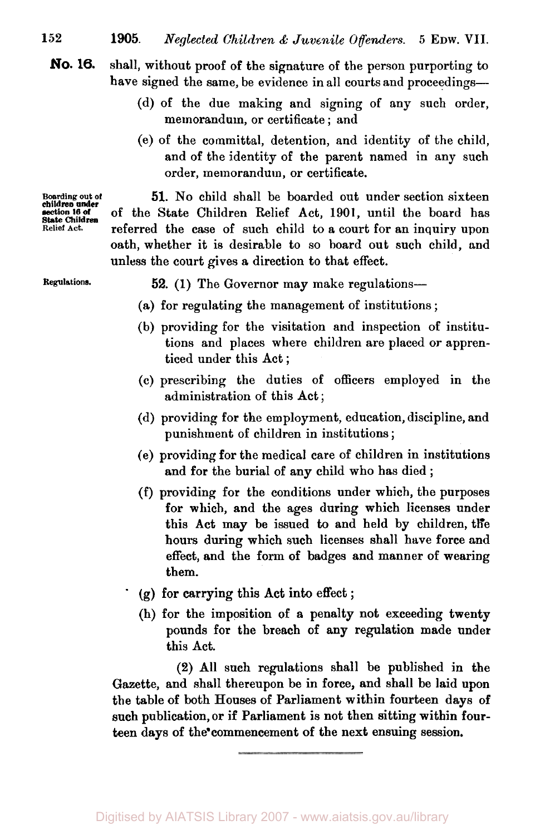shall, without proof of the signature of the person purporting to have signed the same, be evidence in all courts and proceedings-**No. 16.** 

- (d) of the due making and signing of any such order, memorandum, or certificate ; and
- (e) of the committal, detention, and identity of the child, and of the identity of the parent named in any such order, memorandum, or certificate.

**Boarding out of 51. No** child shall be boarded out under section sixteen **section 16 of** of the State Children Relief Act, 1901, until the board has **Relief Act.** referred the case of such child to a court for an inquiry upon oath, whether it is desirable to so board out such child, and unless the court gives a direction to that effect.

**Regulations. 52.** (1) The Governor may make regulations-

- (a) for regulating the management of institutions ;
- (b) providing for the visitation and inspection of institutions and places where children are placed or apprenticed under this Act ;
- (c) prescribing the duties of officers employed in the administration of this Act ;
- (d) providing for the employment, education, discipline, and punishment of children in institutions ;
- (e) providing for the medical care of children in institutions and for the burial of any child who has died ;
- (f) providing for the conditions under which, the purposes for which, and the ages during which licenses under this Act may be issued to and held by children, the hours during which such licenses shall have force and effect, and the form of badges and manner of wearing them.
- (g) for carrying this Act into effect ;
- (h) for the imposition of **a** penalty not exceeding twenty pounds for the breach of any regulation made under this Act.

(2) All such regulations shall be published in the Gazette, and shall thereupon be in force, and shall be laid upon the table of both Houses of Parliament within fourteen days of such publication, or if Parliament is not then sitting within fourteen days of the commencement of the next ensuing session.

**children under State Children**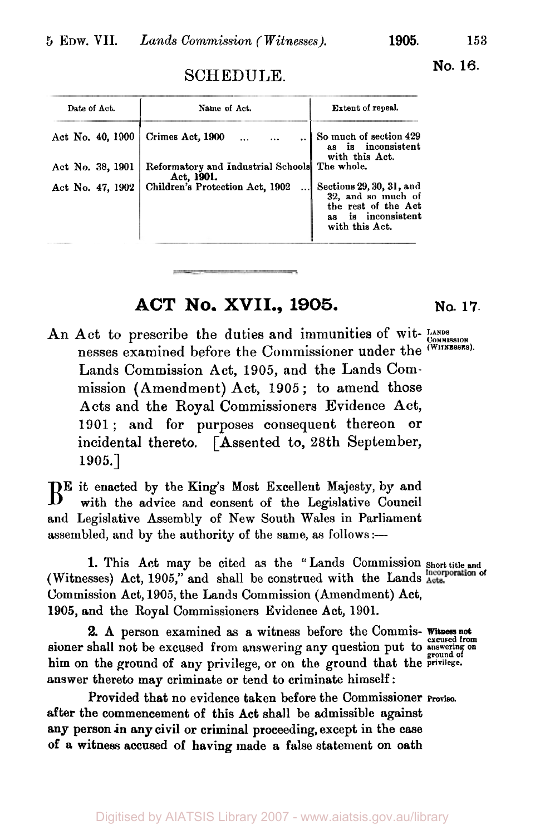**No. 16.** 

# SCHEDULE.

| Date of Act.     | Name of Act.                                                | <b>Extent of repeal.</b>                                                                                          |
|------------------|-------------------------------------------------------------|-------------------------------------------------------------------------------------------------------------------|
| Act No. 40, 1900 | Crimes Act, 1900                                            | So much of section 429<br>as is inconsistent<br>with this Act.                                                    |
| Act No. 38, 1901 | Reformatory and Industrial Schools The whole.<br>Act, 1901. |                                                                                                                   |
| Act No. 47, 1902 | Children's Protection Act, 1902                             | Sections 29, 30, 31, and<br>32, and so much of<br>the rest of the Act<br>is inconsistent<br>as.<br>with this Act. |
|                  |                                                             |                                                                                                                   |

# **ACT No. XVII., 1905. No. 17.**

An Act to prescribe the duties and immunities of wit- LANDS nesses examined before the Commissioner under the <sup>(WITNESSES)</sup>. Lands Commission **Act,** 1905, and the Lands Commission (Amendment) Act, 1905 ; to amend those Acts and the Royal Commissioners Evidence Act, 1901; and **for** purposes consequent thereon **or**  incidental thereto. [Assented to, 28th September, 1905.]

 $B<sup>E</sup>$  it enacted by the King's Most Excellent Majesty, by and with the advice and consent of the Legislative Council and Legislative Assembly of New South Wales in Parliament assembled, and by the authority of the same, as follows :-

**1.** This Act may be cited as the "Lands Commission **Short title and**  (Witnesses) Act, 1905," and shall be construed with the Lands Acts. Commission Act, **1905,** the Lands Commission (Amendment) Act, 1905, and the Royal Commissioners Evidence Act, **1901.** 

sioner shall not be excused from answering any question put to answering on him on the ground of any privilege, or on the ground that the **privilege.**  answer thereto may criminate or tend to criminate himself: **Witness not 2.** A person examined **as a** witness before the Commis- **excused** from

**after** the commencement of this Act shall be admissible against any person in **any** civil or criminal proceeding, except in the case of *a* witness accused of having made **a** false statement on oath Provided that no evidence taken before the Commissioner **Proviso.**